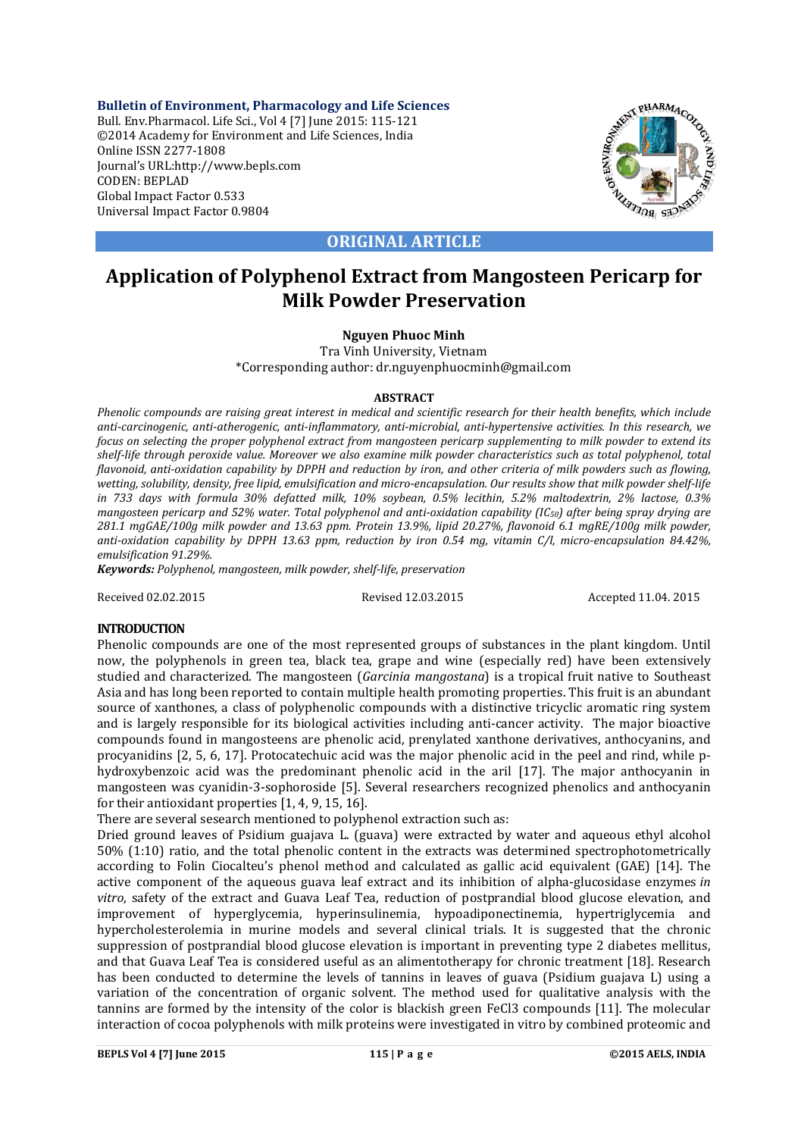**Bulletin of Environment, Pharmacology and Life Sciences** Bull. Env.Pharmacol. Life Sci., Vol 4 [7] June 2015: 115-121 ©2014 Academy for Environment and Life Sciences, India Online ISSN 2277-1808 Journal's URL:http://www.bepls.com CODEN: BEPLAD Global Impact Factor 0.533 Universal Impact Factor 0.9804



**ORIGINAL ARTICLE**

# **Application of Polyphenol Extract from Mangosteen Pericarp for Milk Powder Preservation**

# **Nguyen Phuoc Minh**

Tra Vinh University, Vietnam \*Corresponding author: dr.nguyenphuocminh@gmail.com

## **ABSTRACT**

*Phenolic compounds are raising great interest in medical and scientific research for their health benefits, which include anti-carcinogenic, anti-atherogenic, anti-inflammatory, anti-microbial, anti-hypertensive activities. In this research, we focus on selecting the proper polyphenol extract from mangosteen pericarp supplementing to milk powder to extend its shelf-life through peroxide value. Moreover we also examine milk powder characteristics such as total polyphenol, total flavonoid, anti-oxidation capability by DPPH and reduction by iron, and other criteria of milk powders such as flowing, wetting, solubility, density, free lipid, emulsification and micro-encapsulation. Our results show that milk powder shelf-life in 733 days with formula 30% defatted milk, 10% soybean, 0.5% lecithin, 5.2% maltodextrin, 2% lactose, 0.3% mangosteen pericarp and 52% water. Total polyphenol and anti-oxidation capability (IC50) after being spray drying are 281.1 mgGAE/100g milk powder and 13.63 ppm. Protein 13.9%, lipid 20.27%, flavonoid 6.1 mgRE/100g milk powder, anti-oxidation capability by DPPH 13.63 ppm, reduction by iron 0.54 mg, vitamin C/l, micro-encapsulation 84.42%, emulsification 91.29%.*

*Keywords: Polyphenol, mangosteen, milk powder, shelf-life, preservation*

Received 02.02.2015 Revised 12.03.2015 Accepted 11.04. 2015

# **INTRODUCTION**

Phenolic compounds are one of the most represented groups of substances in the plant kingdom. Until now, the polyphenols in green tea, black tea, grape and wine (especially red) have been extensively studied and characterized. The mangosteen (*Garcinia mangostana*) is a tropical fruit native to Southeast Asia and has long been reported to contain multiple health promoting properties. This fruit is an abundant source of xanthones, a class of polyphenolic compounds with a distinctive tricyclic aromatic ring system and is largely responsible for its biological activities including anti-cancer activity. The major bioactive compounds found in mangosteens are phenolic acid, prenylated xanthone derivatives, anthocyanins, and procyanidins [2, 5, 6, 17]. Protocatechuic acid was the major phenolic acid in the peel and rind, while phydroxybenzoic acid was the predominant phenolic acid in the aril [17]. The major anthocyanin in mangosteen was cyanidin-3-sophoroside [5]. Several researchers recognized phenolics and anthocyanin for their antioxidant properties [1, 4, 9, 15, 16].

There are several sesearch mentioned to polyphenol extraction such as:

Dried ground leaves of Psidium guajava L. (guava) were extracted by water and aqueous ethyl alcohol 50% (1:10) ratio, and the total phenolic content in the extracts was determined spectrophotometrically according to Folin Ciocalteu's phenol method and calculated as gallic acid equivalent (GAE) [14]. The active component of the aqueous guava leaf extract and its inhibition of alpha-glucosidase enzymes *in vitro*, safety of the extract and Guava Leaf Tea, reduction of postprandial blood glucose elevation, and improvement of hyperglycemia, hyperinsulinemia, hypoadiponectinemia, hypertriglycemia and hypercholesterolemia in murine models and several clinical trials. It is suggested that the chronic suppression of postprandial blood glucose elevation is important in preventing type 2 diabetes mellitus, and that Guava Leaf Tea is considered useful as an alimentotherapy for chronic treatment [18]. Research has been conducted to determine the levels of tannins in leaves of guava (Psidium guajava L) using a variation of the concentration of organic solvent. The method used for qualitative analysis with the tannins are formed by the intensity of the color is blackish green FeCl3 compounds [11]. The molecular interaction of cocoa polyphenols with milk proteins were investigated in vitro by combined proteomic and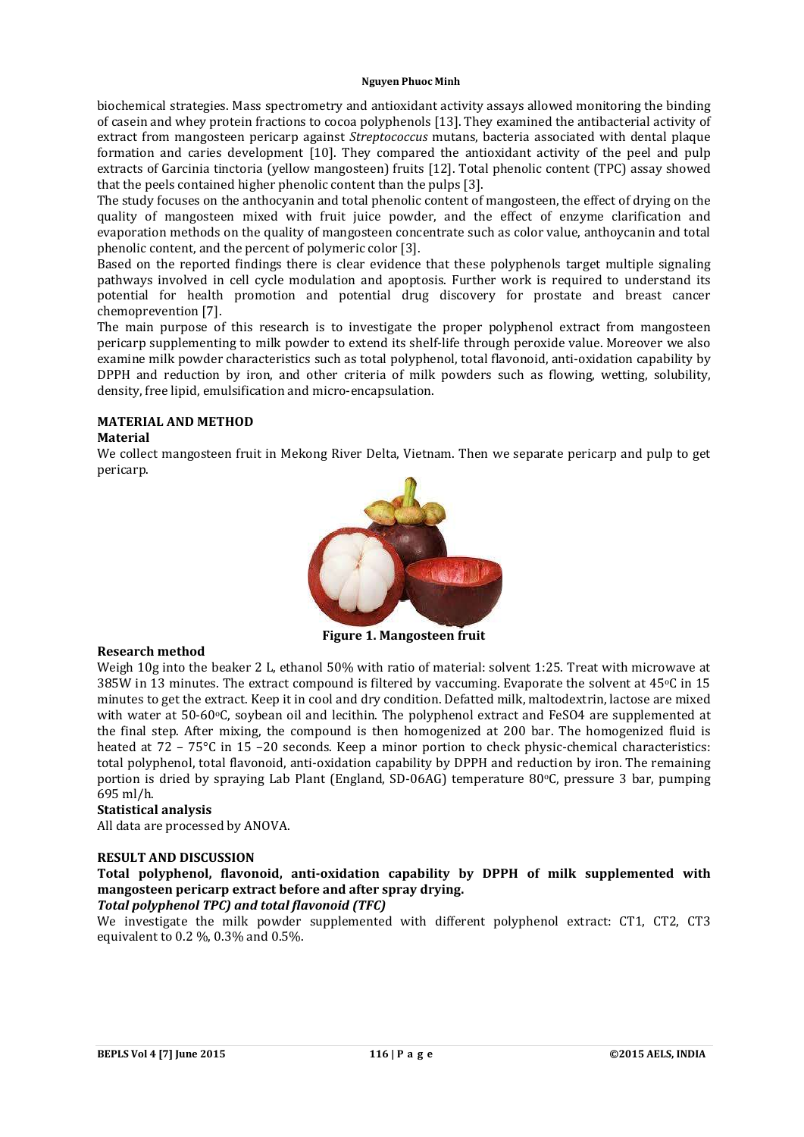biochemical strategies. Mass spectrometry and antioxidant activity assays allowed monitoring the binding of casein and whey protein fractions to cocoa polyphenols [13]. They examined the antibacterial activity of extract from mangosteen pericarp against *Streptococcus* mutans, bacteria associated with dental plaque formation and caries development [10]. They compared the antioxidant activity of the peel and pulp extracts of Garcinia tinctoria (yellow mangosteen) fruits [12]. Total phenolic content (TPC) assay showed that the peels contained higher phenolic content than the pulps [3].

The study focuses on the anthocyanin and total phenolic content of mangosteen, the effect of drying on the quality of mangosteen mixed with fruit juice powder, and the effect of enzyme clarification and evaporation methods on the quality of mangosteen concentrate such as color value, anthoycanin and total phenolic content, and the percent of polymeric color [3].

Based on the reported findings there is clear evidence that these polyphenols target multiple signaling pathways involved in cell cycle modulation and apoptosis. Further work is required to understand its potential for health promotion and potential drug discovery for prostate and breast cancer chemoprevention [7].

The main purpose of this research is to investigate the proper polyphenol extract from mangosteen pericarp supplementing to milk powder to extend its shelf-life through peroxide value. Moreover we also examine milk powder characteristics such as total polyphenol, total flavonoid, anti-oxidation capability by DPPH and reduction by iron, and other criteria of milk powders such as flowing, wetting, solubility, density, free lipid, emulsification and micro-encapsulation.

# **MATERIAL AND METHOD**

# **Material**

We collect mangosteen fruit in Mekong River Delta, Vietnam. Then we separate pericarp and pulp to get pericarp.



**Figure 1. Mangosteen fruit**

## **Research method**

Weigh 10g into the beaker 2 L, ethanol 50% with ratio of material: solvent 1:25. Treat with microwave at 385W in 13 minutes. The extract compound is filtered by vaccuming. Evaporate the solvent at  $45^{\circ}$ C in 15 minutes to get the extract. Keep it in cool and dry condition. Defatted milk, maltodextrin, lactose are mixed with water at 50-60°C, soybean oil and lecithin. The polyphenol extract and FeSO4 are supplemented at the final step. After mixing, the compound is then homogenized at 200 bar. The homogenized fluid is heated at 72 – 75°C in 15 –20 seconds. Keep a minor portion to check physic-chemical characteristics: total polyphenol, total flavonoid, anti-oxidation capability by DPPH and reduction by iron. The remaining portion is dried by spraying Lab Plant (England, SD-06AG) temperature 80oC, pressure 3 bar, pumping 695 ml/h.

## **Statistical analysis**

All data are processed by ANOVA.

## **RESULT AND DISCUSSION**

**Total polyphenol, flavonoid, anti-oxidation capability by DPPH of milk supplemented with mangosteen pericarp extract before and after spray drying.**

## *Total polyphenol TPC) and total flavonoid (TFC)*

We investigate the milk powder supplemented with different polyphenol extract: CT1, CT2, CT3 equivalent to 0.2 %, 0.3% and 0.5%.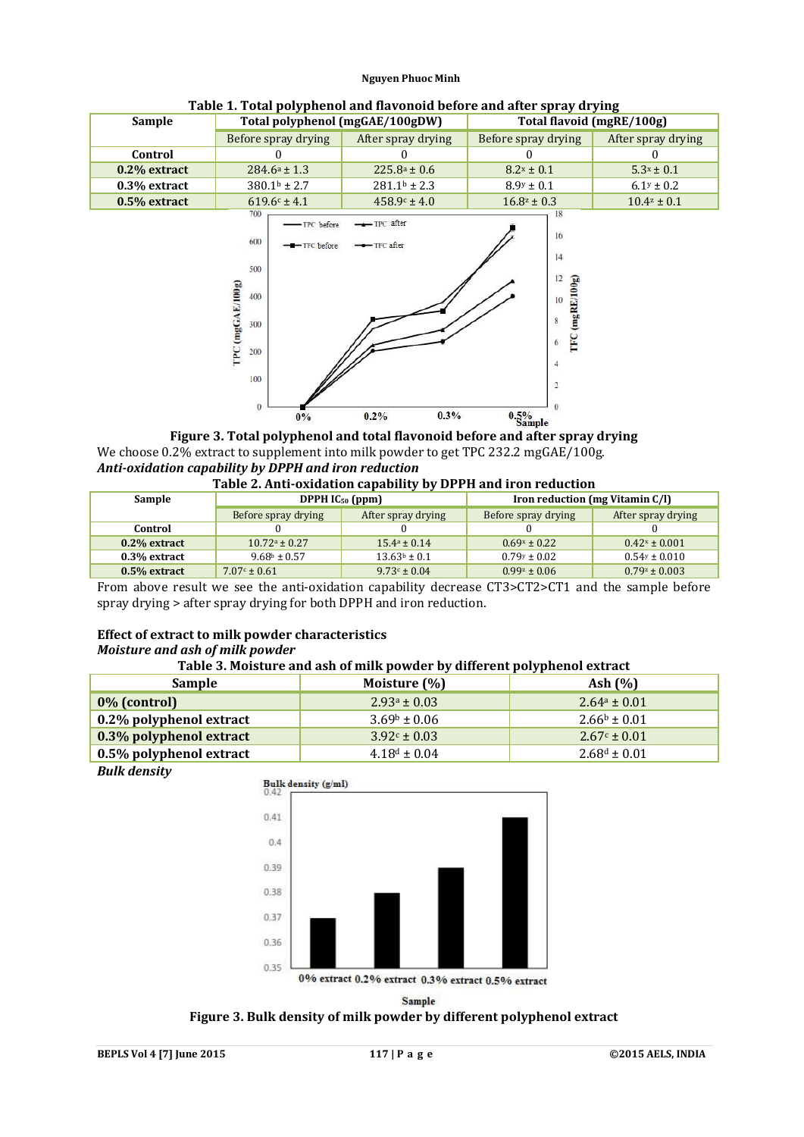| Sample          | Total polyphenol (mgGAE/100gDW)          |                          | Total flavoid (mgRE/100g) |                    |  |
|-----------------|------------------------------------------|--------------------------|---------------------------|--------------------|--|
|                 | Before spray drying                      | After spray drying       | Before spray drying       | After spray drying |  |
| Control         |                                          |                          |                           |                    |  |
| $0.2\%$ extract | $284.6a \pm 1.3$                         | $225.8^{\circ} \pm 0.6$  | $8.2x \pm 0.1$            | $5.3x \pm 0.1$     |  |
| 0.3% extract    | $380.1b \pm 2.7$                         | $281.1b \pm 2.3$         | $8.9y \pm 0.1$            | $6.1y \pm 0.2$     |  |
| $0.5%$ extract  | $619.6c \pm 4.1$                         | $458.9c \pm 4.0$         | $16.8^z \pm 0.3$          | $10.4^z \pm 0.1$   |  |
|                 | 700<br>-TPC before<br>600<br>-TFC before | -TPC after<br>-TFC after | 18<br>16                  |                    |  |

 $12$ 

**Table 1. Total polyphenol and flavonoid before and after spray drying**



**Figure 3. Total polyphenol and total flavonoid before and after spray drying** We choose 0.2% extract to supplement into milk powder to get TPC 232.2 mgGAE/100g. *Anti-oxidation capability by DPPH and iron reduction*

#### **Table 2. Anti-oxidation capability by DPPH and iron reduction**

| Sample          | DPPH $IC_{50}$ (ppm) |                    | Iron reduction (mg Vitamin C/I) |                    |  |
|-----------------|----------------------|--------------------|---------------------------------|--------------------|--|
|                 | Before spray drying  | After spray drying | Before spray drying             | After spray drying |  |
| Control         |                      |                    |                                 |                    |  |
| $0.2\%$ extract | $10.72a \pm 0.27$    | $15.4a \pm 0.14$   | $0.69x \pm 0.22$                | $0.42x \pm 0.001$  |  |
| 0.3% extract    | $9.68b \pm 0.57$     | $13.63b \pm 0.1$   | $0.79y \pm 0.02$                | $0.54y \pm 0.010$  |  |
| $0.5%$ extract  | $7.07c \pm 0.61$     | $9.73c \pm 0.04$   | $0.99^z \pm 0.06$               | $0.79^z \pm 0.003$ |  |

From above result we see the anti-oxidation capability decrease CT3>CT2>CT1 and the sample before spray drying > after spray drying for both DPPH and iron reduction.

# **Effect of extract to milk powder characteristics**

500

# *Moisture and ash of milk powder*

## **Table 3. Moisture and ash of milk powder by different polyphenol extract**

| <b>Sample</b>                   | Moisture (%)      | Ash $(\% )$       |
|---------------------------------|-------------------|-------------------|
| $\vert 0\%$ (control)           | $2.93^a \pm 0.03$ | $2.64^a \pm 0.01$ |
| $\vert$ 0.2% polyphenol extract | $3.69b \pm 0.06$  | $2.66b \pm 0.01$  |
| 0.3% polyphenol extract         | $3.92c \pm 0.03$  | $2.67c \pm 0.01$  |
| $\vert$ 0.5% polyphenol extract | $4.18^d \pm 0.04$ | $2.68^d \pm 0.01$ |

*Bulk density*



**Sample** 

## **Figure 3. Bulk density of milk powder by different polyphenol extract**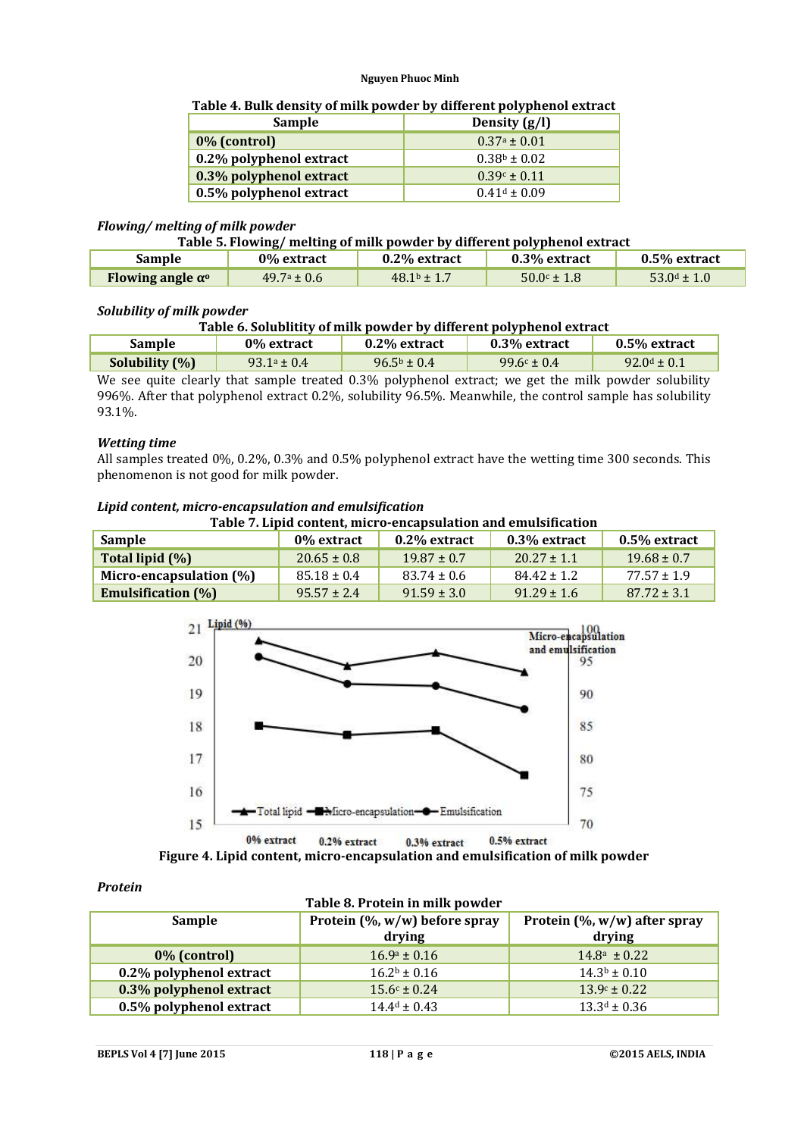## **Table 4. Bulk density of milk powder by different polyphenol extract**

| <b>Sample</b>           | Density $(g/l)$  |
|-------------------------|------------------|
| 0% (control)            | $0.37a \pm 0.01$ |
| 0.2% polyphenol extract | $0.38b \pm 0.02$ |
| 0.3% polyphenol extract | $0.39c \pm 0.11$ |
| 0.5% polyphenol extract | $0.41d \pm 0.09$ |

#### *Flowing/ melting of milk powder*

## **Table 5. Flowing/ melting of milk powder by different polyphenol extract**

| Sample                         | 0% extract             | 0.2% extract    | 0.3% extract         | 0.5% extract     |  |
|--------------------------------|------------------------|-----------------|----------------------|------------------|--|
| Flowing angle $\alpha^{\rm o}$ | $49.7^{\circ} \pm 0.6$ | $48.1b \pm 1.7$ | $50.0^{\circ}$ ± 1.8 | $53.0^d \pm 1.0$ |  |

#### *Solubility of milk powder*

| Table 6. Solublitity of milk powder by different polyphenol extract |
|---------------------------------------------------------------------|
|---------------------------------------------------------------------|

| Sample                                                                                              | 0% extract       | $0.2\%$ extract                | 0.3% extract    | $0.5\%$ extract  |  |
|-----------------------------------------------------------------------------------------------------|------------------|--------------------------------|-----------------|------------------|--|
| Solubility (%)                                                                                      | $93.1^a \pm 0.4$ | $96.5^{\rm b} \pm 0.4^{\rm c}$ | $99.6c \pm 0.4$ | $92.0^d \pm 0.1$ |  |
| We see quite clearly that sample treated 0.3% polyphenol extract: we get the milk nowder solubility |                  |                                |                 |                  |  |

hat sample treated 0.3% polyphenol extract; we get the milk powder solubility 996%. After that polyphenol extract 0.2%, solubility 96.5%. Meanwhile, the control sample has solubility 93.1%.

#### *Wetting time*

All samples treated 0%, 0.2%, 0.3% and 0.5% polyphenol extract have the wetting time 300 seconds. This phenomenon is not good for milk powder.

#### *Lipid content, micro-encapsulation and emulsification*

**Table 7. Lipid content, micro-encapsulation and emulsification**

| Sample                     | 0% extract      | $0.2\%$ extract | $0.3\%$ extract | 0.5% extract    |
|----------------------------|-----------------|-----------------|-----------------|-----------------|
| Total lipid (%)            | $20.65 \pm 0.8$ | $19.87 + 0.7$   | $20.27 \pm 1.1$ | $19.68 \pm 0.7$ |
| Micro-encapsulation $(\%)$ | $85.18 \pm 0.4$ | $83.74 \pm 0.6$ | $84.42 \pm 1.2$ | $77.57 + 1.9$   |
| <b>Emulsification</b> (%)  | $95.57 + 2.4$   | $91.59 \pm 3.0$ | $91.29 \pm 1.6$ | $87.72 \pm 3.1$ |



**Figure 4. Lipid content, micro-encapsulation and emulsification of milk powder**

#### *Protein*

| Table 8. Protein in milk powder |                                             |                                            |  |  |  |  |  |
|---------------------------------|---------------------------------------------|--------------------------------------------|--|--|--|--|--|
| Sample                          | Protein $(\% , w/w)$ before spray<br>drying | Protein $(\% , w/w)$ after spray<br>drying |  |  |  |  |  |
| 0% (control)                    | $16.9^a \pm 0.16$                           | $14.8^a \pm 0.22$                          |  |  |  |  |  |
| 0.2% polyphenol extract         | $16.2^b \pm 0.16$                           | $14.3b \pm 0.10$                           |  |  |  |  |  |
| 0.3% polyphenol extract         | $15.6c \pm 0.24$                            | $13.9c \pm 0.22$                           |  |  |  |  |  |
| 0.5% polyphenol extract         | $14.4^d \pm 0.43$                           | $13.3^d \pm 0.36$                          |  |  |  |  |  |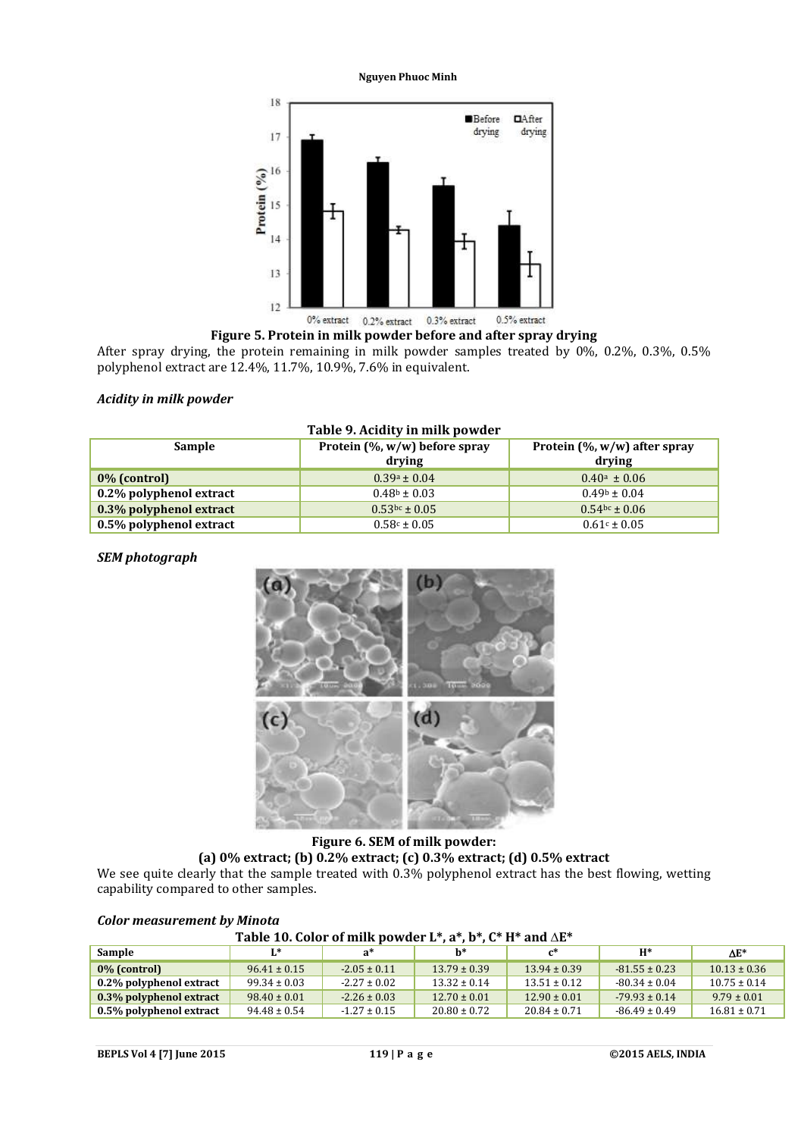

## **Figure 5. Protein in milk powder before and after spray drying**

After spray drying, the protein remaining in milk powder samples treated by 0%, 0.2%, 0.3%, 0.5% polyphenol extract are 12.4%, 11.7%, 10.9%, 7.6% in equivalent.

#### *Acidity in milk powder*

| <b>Sample</b>           | Protein $(\% , w/w)$ before spray<br>drving | Protein $(\% , w/w)$ after spray<br>drying |  |  |
|-------------------------|---------------------------------------------|--------------------------------------------|--|--|
| 0% (control)            | $0.39a \pm 0.04$                            | $0.40^{\text{a}} \pm 0.06$                 |  |  |
| 0.2% polyphenol extract | $0.48b \pm 0.03$                            | $0.49b \pm 0.04$                           |  |  |
| 0.3% polyphenol extract | $0.53$ <sub>bc</sub> ± 0.05                 | $0.54$ <sub>bc</sub> ± 0.06                |  |  |
| 0.5% polyphenol extract | $0.58c \pm 0.05$                            | $0.61c \pm 0.05$                           |  |  |

# **Table 9. Acidity in milk powder**

## *SEM photograph*



# **Figure 6. SEM of milk powder: (a) 0% extract; (b) 0.2% extract; (c) 0.3% extract; (d) 0.5% extract**

We see quite clearly that the sample treated with 0.3% polyphenol extract has the best flowing, wetting capability compared to other samples.

| Table 10. Color of milk powder L*, $a^*$ , $b^*$ , $C^*$ H* and $\Delta E^*$ |                  |                  |                  |                  |                   |                  |  |  |
|------------------------------------------------------------------------------|------------------|------------------|------------------|------------------|-------------------|------------------|--|--|
| Sample<br>$H^*$<br>$I^*$<br>h*<br>$AE^*$<br>$\mathsf{r}^*$<br>$a^*$          |                  |                  |                  |                  |                   |                  |  |  |
| 0% (control)                                                                 | $96.41 \pm 0.15$ | $-2.05 \pm 0.11$ | $13.79 \pm 0.39$ | $13.94 \pm 0.39$ | $-81.55 \pm 0.23$ | $10.13 \pm 0.36$ |  |  |
| 0.2% polyphenol extract                                                      | $99.34 \pm 0.03$ | $-2.27 \pm 0.02$ | $13.32 \pm 0.14$ | $13.51 \pm 0.12$ | $-80.34 \pm 0.04$ | $10.75 \pm 0.14$ |  |  |
| 0.3% polyphenol extract                                                      | $98.40 \pm 0.01$ | $-2.26 \pm 0.03$ | $12.70 \pm 0.01$ | $12.90 \pm 0.01$ | $-79.93 \pm 0.14$ | $9.79 \pm 0.01$  |  |  |
| 0.5% polyphenol extract                                                      | $94.48 \pm 0.54$ | $-1.27 \pm 0.15$ | $20.80 \pm 0.72$ | $20.84 \pm 0.71$ | $-86.49 \pm 0.49$ | $16.81 \pm 0.71$ |  |  |

#### *Color measurement by Minota*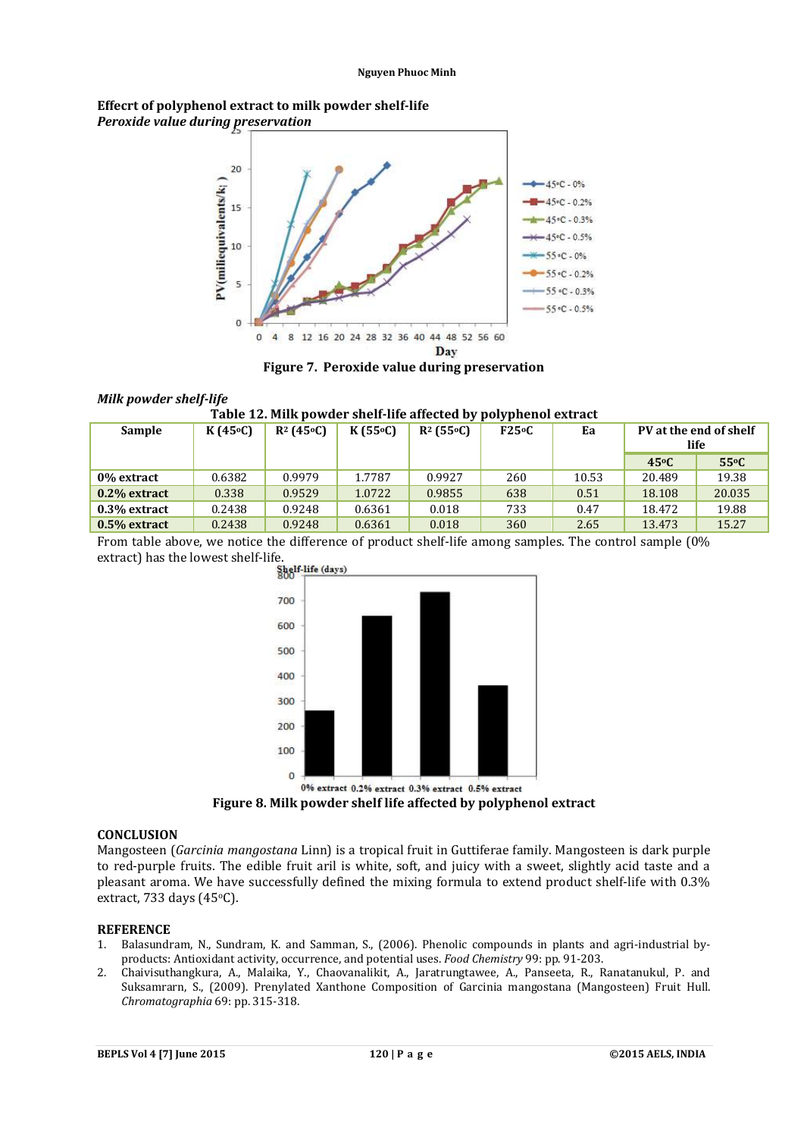## **Effecrt of polyphenol extract to milk powder shelf-life** *Peroxide value during preservation*



**Figure 7. Peroxide value during preservation**

## *Milk powder shelf-life*

**Table 12. Milk powder shelf-life affected by polyphenol extract**

| <b>Sample</b>  | K(45°C) | $R^2$ (45 <sup>o</sup> C) | K(55°C) | $R^2$ (55 <sup>o</sup> C) | F25°C | Ea    | PV at the end of shelf<br>life |               |
|----------------|---------|---------------------------|---------|---------------------------|-------|-------|--------------------------------|---------------|
|                |         |                           |         |                           |       |       | 45 <sup>o</sup> C              | $55^{\circ}C$ |
| 0% extract     | 0.6382  | 0.9979                    | 1.7787  | 0.9927                    | 260   | 10.53 | 20.489                         | 19.38         |
| 0.2% extract   | 0.338   | 0.9529                    | 1.0722  | 0.9855                    | 638   | 0.51  | 18.108                         | 20.035        |
| 0.3% extract   | 0.2438  | 0.9248                    | 0.6361  | 0.018                     | 733   | 0.47  | 18.472                         | 19.88         |
| $0.5%$ extract | 0.2438  | 0.9248                    | 0.6361  | 0.018                     | 360   | 2.65  | 13.473                         | 15.27         |

From table above, we notice the difference of product shelf-life among samples. The control sample (0% extract) has the lowest shelf-life.<br>Shelf-life (days)



**Figure 8. Milk powder shelf life affected by polyphenol extract**

## **CONCLUSION**

Mangosteen (*Garcinia mangostana* Linn) is a tropical fruit in Guttiferae family. Mangosteen is dark purple to red-purple fruits. The edible fruit aril is white, soft, and juicy with a sweet, slightly acid taste and a pleasant aroma. We have successfully defined the mixing formula to extend product shelf-life with 0.3% extract, 733 days  $(45°C)$ .

#### **REFERENCE**

- 1. Balasundram, N., Sundram, K. and Samman, S., (2006). Phenolic compounds in plants and agri-industrial byproducts: Antioxidant activity, occurrence, and potential uses. *Food Chemistry* 99: pp. 91-203.
- 2. Chaivisuthangkura, A., Malaika, Y., Chaovanalikit, A., Jaratrungtawee, A., Panseeta, R., Ranatanukul, P. and Suksamrarn, S., (2009). Prenylated Xanthone Composition of Garcinia mangostana (Mangosteen) Fruit Hull. *Chromatographia* 69: pp. 315-318.